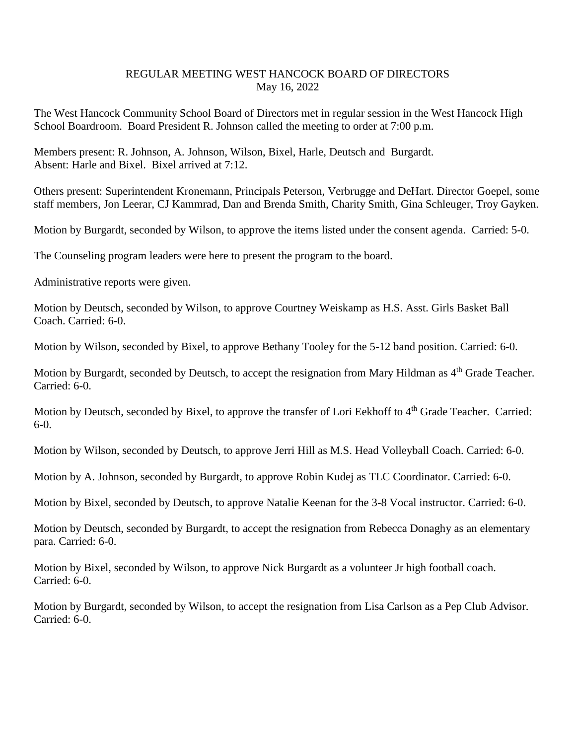## REGULAR MEETING WEST HANCOCK BOARD OF DIRECTORS May 16, 2022

The West Hancock Community School Board of Directors met in regular session in the West Hancock High School Boardroom. Board President R. Johnson called the meeting to order at 7:00 p.m.

Members present: R. Johnson, A. Johnson, Wilson, Bixel, Harle, Deutsch and Burgardt. Absent: Harle and Bixel. Bixel arrived at 7:12.

Others present: Superintendent Kronemann, Principals Peterson, Verbrugge and DeHart. Director Goepel, some staff members, Jon Leerar, CJ Kammrad, Dan and Brenda Smith, Charity Smith, Gina Schleuger, Troy Gayken.

Motion by Burgardt, seconded by Wilson, to approve the items listed under the consent agenda. Carried: 5-0.

The Counseling program leaders were here to present the program to the board.

Administrative reports were given.

Motion by Deutsch, seconded by Wilson, to approve Courtney Weiskamp as H.S. Asst. Girls Basket Ball Coach. Carried: 6-0.

Motion by Wilson, seconded by Bixel, to approve Bethany Tooley for the 5-12 band position. Carried: 6-0.

Motion by Burgardt, seconded by Deutsch, to accept the resignation from Mary Hildman as 4<sup>th</sup> Grade Teacher. Carried: 6-0.

Motion by Deutsch, seconded by Bixel, to approve the transfer of Lori Eekhoff to 4<sup>th</sup> Grade Teacher. Carried: 6-0.

Motion by Wilson, seconded by Deutsch, to approve Jerri Hill as M.S. Head Volleyball Coach. Carried: 6-0.

Motion by A. Johnson, seconded by Burgardt, to approve Robin Kudej as TLC Coordinator. Carried: 6-0.

Motion by Bixel, seconded by Deutsch, to approve Natalie Keenan for the 3-8 Vocal instructor. Carried: 6-0.

Motion by Deutsch, seconded by Burgardt, to accept the resignation from Rebecca Donaghy as an elementary para. Carried: 6-0.

Motion by Bixel, seconded by Wilson, to approve Nick Burgardt as a volunteer Jr high football coach. Carried: 6-0.

Motion by Burgardt, seconded by Wilson, to accept the resignation from Lisa Carlson as a Pep Club Advisor. Carried: 6-0.